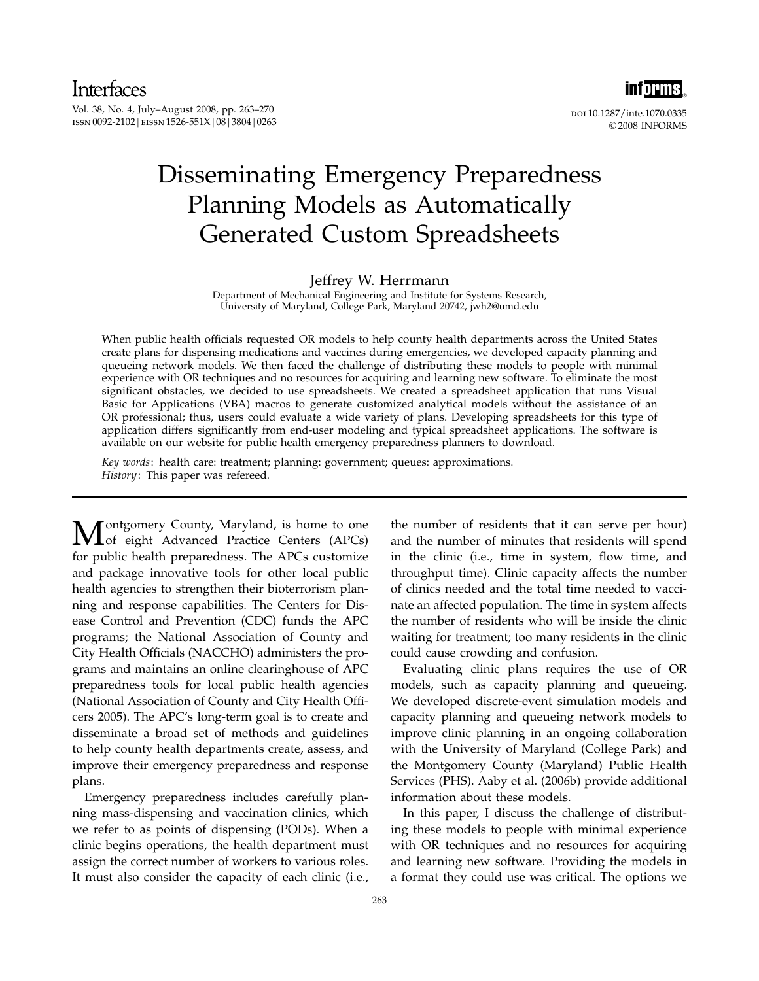Vol. 38, No. 4, July–August 2008, pp. 263–270 ISSN 0092-2102 | EISSN 1526-551X | 08 | 3804 | 0263

# ©2008 INFORMS

# Disseminating Emergency Preparedness Planning Models as Automatically Generated Custom Spreadsheets

#### Jeffrey W. Herrmann

Department of Mechanical Engineering and Institute for Systems Research, University of Maryland, College Park, Maryland 20742, jwh2@umd.edu

When public health officials requested OR models to help county health departments across the United States create plans for dispensing medications and vaccines during emergencies, we developed capacity planning and queueing network models. We then faced the challenge of distributing these models to people with minimal experience with OR techniques and no resources for acquiring and learning new software. To eliminate the most significant obstacles, we decided to use spreadsheets. We created a spreadsheet application that runs Visual Basic for Applications (VBA) macros to generate customized analytical models without the assistance of an OR professional; thus, users could evaluate a wide variety of plans. Developing spreadsheets for this type of application differs significantly from end-user modeling and typical spreadsheet applications. The software is available on our website for public health emergency preparedness planners to download.

Key words: health care: treatment; planning: government; queues: approximations. History: This paper was refereed.

Montgomery County, Maryland, is home to one<br>
of eight Advanced Practice Centers (APCs) for public health preparedness. The APCs customize and package innovative tools for other local public health agencies to strengthen their bioterrorism planning and response capabilities. The Centers for Disease Control and Prevention (CDC) funds the APC programs; the National Association of County and City Health Officials (NACCHO) administers the programs and maintains an online clearinghouse of APC preparedness tools for local public health agencies (National Association of County and City Health Officers 2005). The APC's long-term goal is to create and disseminate a broad set of methods and guidelines to help county health departments create, assess, and improve their emergency preparedness and response plans.

Emergency preparedness includes carefully planning mass-dispensing and vaccination clinics, which we refer to as points of dispensing (PODs). When a clinic begins operations, the health department must assign the correct number of workers to various roles. It must also consider the capacity of each clinic (i.e.,

the number of residents that it can serve per hour) and the number of minutes that residents will spend in the clinic (i.e., time in system, flow time, and throughput time). Clinic capacity affects the number of clinics needed and the total time needed to vaccinate an affected population. The time in system affects the number of residents who will be inside the clinic waiting for treatment; too many residents in the clinic could cause crowding and confusion.

Evaluating clinic plans requires the use of OR models, such as capacity planning and queueing. We developed discrete-event simulation models and capacity planning and queueing network models to improve clinic planning in an ongoing collaboration with the University of Maryland (College Park) and the Montgomery County (Maryland) Public Health Services (PHS). Aaby et al. (2006b) provide additional information about these models.

In this paper, I discuss the challenge of distributing these models to people with minimal experience with OR techniques and no resources for acquiring and learning new software. Providing the models in a format they could use was critical. The options we



doi 10.1287/inte.1070.0335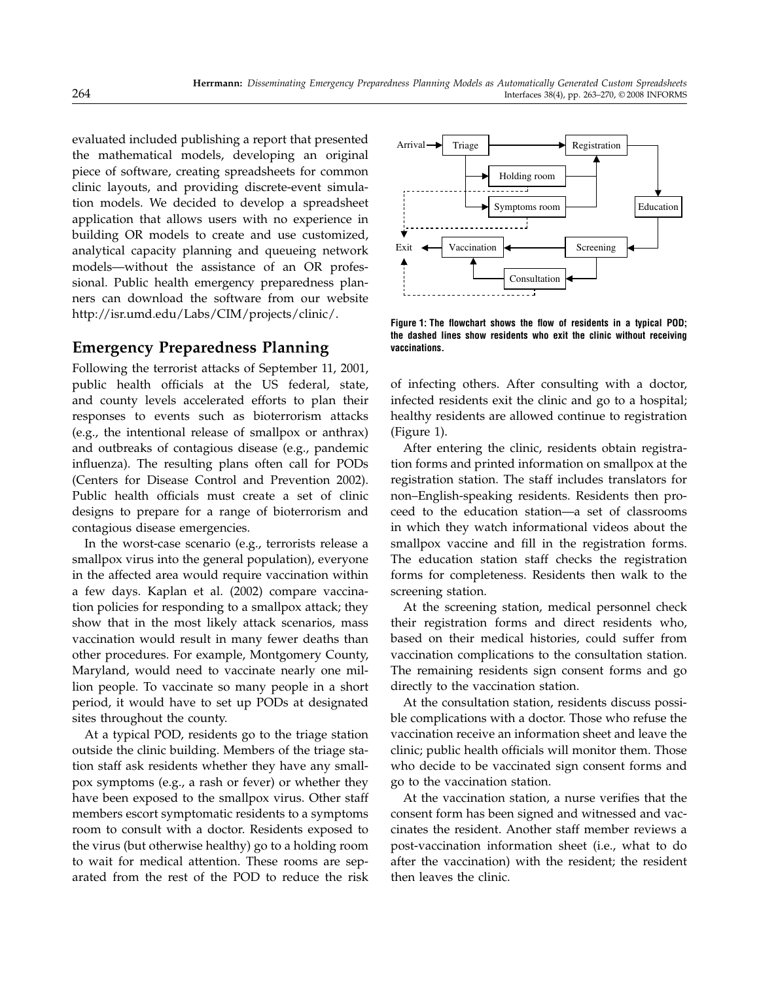evaluated included publishing a report that presented the mathematical models, developing an original piece of software, creating spreadsheets for common clinic layouts, and providing discrete-event simulation models. We decided to develop a spreadsheet application that allows users with no experience in building OR models to create and use customized, analytical capacity planning and queueing network models—without the assistance of an OR professional. Public health emergency preparedness planners can download the software from our website http://isr.umd.edu/Labs/CIM/projects/clinic/.

#### Emergency Preparedness Planning

Following the terrorist attacks of September 11, 2001, public health officials at the US federal, state, and county levels accelerated efforts to plan their responses to events such as bioterrorism attacks (e.g., the intentional release of smallpox or anthrax) and outbreaks of contagious disease (e.g., pandemic influenza). The resulting plans often call for PODs (Centers for Disease Control and Prevention 2002). Public health officials must create a set of clinic designs to prepare for a range of bioterrorism and contagious disease emergencies.

In the worst-case scenario (e.g., terrorists release a smallpox virus into the general population), everyone in the affected area would require vaccination within a few days. Kaplan et al. (2002) compare vaccination policies for responding to a smallpox attack; they show that in the most likely attack scenarios, mass vaccination would result in many fewer deaths than other procedures. For example, Montgomery County, Maryland, would need to vaccinate nearly one million people. To vaccinate so many people in a short period, it would have to set up PODs at designated sites throughout the county.

At a typical POD, residents go to the triage station outside the clinic building. Members of the triage station staff ask residents whether they have any smallpox symptoms (e.g., a rash or fever) or whether they have been exposed to the smallpox virus. Other staff members escort symptomatic residents to a symptoms room to consult with a doctor. Residents exposed to the virus (but otherwise healthy) go to a holding room to wait for medical attention. These rooms are separated from the rest of the POD to reduce the risk



Figure 1: The flowchart shows the flow of residents in a typical POD; the dashed lines show residents who exit the clinic without receiving vaccinations.

of infecting others. After consulting with a doctor, infected residents exit the clinic and go to a hospital; healthy residents are allowed continue to registration (Figure 1).

After entering the clinic, residents obtain registration forms and printed information on smallpox at the registration station. The staff includes translators for non–English-speaking residents. Residents then proceed to the education station—a set of classrooms in which they watch informational videos about the smallpox vaccine and fill in the registration forms. The education station staff checks the registration forms for completeness. Residents then walk to the screening station.

At the screening station, medical personnel check their registration forms and direct residents who, based on their medical histories, could suffer from vaccination complications to the consultation station. The remaining residents sign consent forms and go directly to the vaccination station.

At the consultation station, residents discuss possible complications with a doctor. Those who refuse the vaccination receive an information sheet and leave the clinic; public health officials will monitor them. Those who decide to be vaccinated sign consent forms and go to the vaccination station.

At the vaccination station, a nurse verifies that the consent form has been signed and witnessed and vaccinates the resident. Another staff member reviews a post-vaccination information sheet (i.e., what to do after the vaccination) with the resident; the resident then leaves the clinic.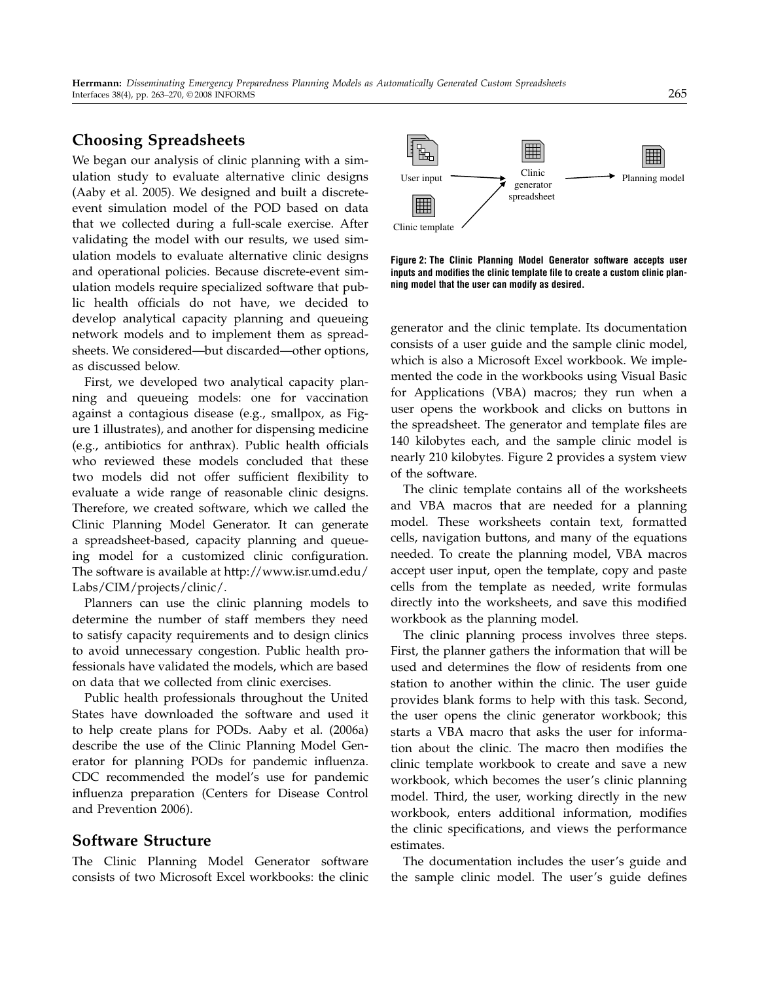## Choosing Spreadsheets

We began our analysis of clinic planning with a simulation study to evaluate alternative clinic designs (Aaby et al. 2005). We designed and built a discreteevent simulation model of the POD based on data that we collected during a full-scale exercise. After validating the model with our results, we used simulation models to evaluate alternative clinic designs and operational policies. Because discrete-event simulation models require specialized software that public health officials do not have, we decided to develop analytical capacity planning and queueing network models and to implement them as spreadsheets. We considered—but discarded—other options, as discussed below.

First, we developed two analytical capacity planning and queueing models: one for vaccination against a contagious disease (e.g., smallpox, as Figure 1 illustrates), and another for dispensing medicine (e.g., antibiotics for anthrax). Public health officials who reviewed these models concluded that these two models did not offer sufficient flexibility to evaluate a wide range of reasonable clinic designs. Therefore, we created software, which we called the Clinic Planning Model Generator. It can generate a spreadsheet-based, capacity planning and queueing model for a customized clinic configuration. The software is available at http://www.isr.umd.edu/ Labs/CIM/projects/clinic/.

Planners can use the clinic planning models to determine the number of staff members they need to satisfy capacity requirements and to design clinics to avoid unnecessary congestion. Public health professionals have validated the models, which are based on data that we collected from clinic exercises.

Public health professionals throughout the United States have downloaded the software and used it to help create plans for PODs. Aaby et al. (2006a) describe the use of the Clinic Planning Model Generator for planning PODs for pandemic influenza. CDC recommended the model's use for pandemic influenza preparation (Centers for Disease Control and Prevention 2006).

#### Software Structure

The Clinic Planning Model Generator software consists of two Microsoft Excel workbooks: the clinic



Figure 2: The Clinic Planning Model Generator software accepts user inputs and modifies the clinic template file to create a custom clinic planning model that the user can modify as desired.

generator and the clinic template. Its documentation consists of a user guide and the sample clinic model, which is also a Microsoft Excel workbook. We implemented the code in the workbooks using Visual Basic for Applications (VBA) macros; they run when a user opens the workbook and clicks on buttons in the spreadsheet. The generator and template files are 140 kilobytes each, and the sample clinic model is nearly 210 kilobytes. Figure 2 provides a system view of the software.

The clinic template contains all of the worksheets and VBA macros that are needed for a planning model. These worksheets contain text, formatted cells, navigation buttons, and many of the equations needed. To create the planning model, VBA macros accept user input, open the template, copy and paste cells from the template as needed, write formulas directly into the worksheets, and save this modified workbook as the planning model.

The clinic planning process involves three steps. First, the planner gathers the information that will be used and determines the flow of residents from one station to another within the clinic. The user guide provides blank forms to help with this task. Second, the user opens the clinic generator workbook; this starts a VBA macro that asks the user for information about the clinic. The macro then modifies the clinic template workbook to create and save a new workbook, which becomes the user's clinic planning model. Third, the user, working directly in the new workbook, enters additional information, modifies the clinic specifications, and views the performance estimates.

The documentation includes the user's guide and the sample clinic model. The user's guide defines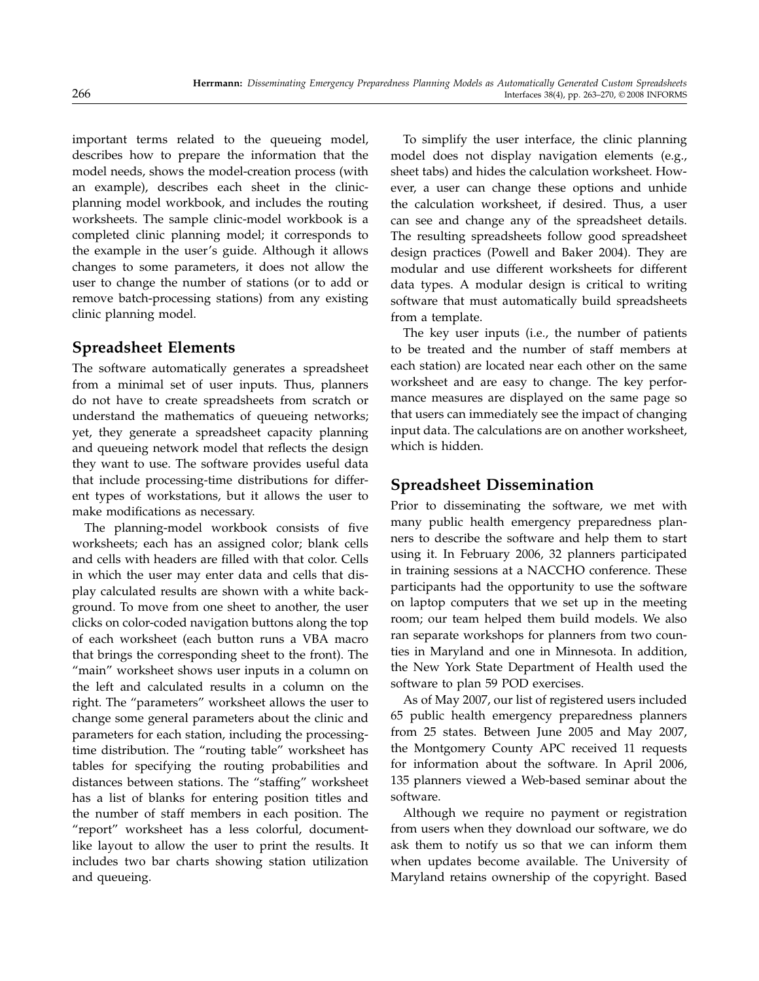important terms related to the queueing model, describes how to prepare the information that the model needs, shows the model-creation process (with an example), describes each sheet in the clinicplanning model workbook, and includes the routing worksheets. The sample clinic-model workbook is a completed clinic planning model; it corresponds to the example in the user's guide. Although it allows changes to some parameters, it does not allow the user to change the number of stations (or to add or remove batch-processing stations) from any existing clinic planning model.

### Spreadsheet Elements

The software automatically generates a spreadsheet from a minimal set of user inputs. Thus, planners do not have to create spreadsheets from scratch or understand the mathematics of queueing networks; yet, they generate a spreadsheet capacity planning and queueing network model that reflects the design they want to use. The software provides useful data that include processing-time distributions for different types of workstations, but it allows the user to make modifications as necessary.

The planning-model workbook consists of five worksheets; each has an assigned color; blank cells and cells with headers are filled with that color. Cells in which the user may enter data and cells that display calculated results are shown with a white background. To move from one sheet to another, the user clicks on color-coded navigation buttons along the top of each worksheet (each button runs a VBA macro that brings the corresponding sheet to the front). The "main" worksheet shows user inputs in a column on the left and calculated results in a column on the right. The "parameters" worksheet allows the user to change some general parameters about the clinic and parameters for each station, including the processingtime distribution. The "routing table" worksheet has tables for specifying the routing probabilities and distances between stations. The "staffing" worksheet has a list of blanks for entering position titles and the number of staff members in each position. The "report" worksheet has a less colorful, documentlike layout to allow the user to print the results. It includes two bar charts showing station utilization and queueing.

To simplify the user interface, the clinic planning model does not display navigation elements (e.g., sheet tabs) and hides the calculation worksheet. However, a user can change these options and unhide the calculation worksheet, if desired. Thus, a user can see and change any of the spreadsheet details. The resulting spreadsheets follow good spreadsheet design practices (Powell and Baker 2004). They are modular and use different worksheets for different data types. A modular design is critical to writing software that must automatically build spreadsheets from a template.

The key user inputs (i.e., the number of patients to be treated and the number of staff members at each station) are located near each other on the same worksheet and are easy to change. The key performance measures are displayed on the same page so that users can immediately see the impact of changing input data. The calculations are on another worksheet, which is hidden.

# Spreadsheet Dissemination

Prior to disseminating the software, we met with many public health emergency preparedness planners to describe the software and help them to start using it. In February 2006, 32 planners participated in training sessions at a NACCHO conference. These participants had the opportunity to use the software on laptop computers that we set up in the meeting room; our team helped them build models. We also ran separate workshops for planners from two counties in Maryland and one in Minnesota. In addition, the New York State Department of Health used the software to plan 59 POD exercises.

As of May 2007, our list of registered users included 65 public health emergency preparedness planners from 25 states. Between June 2005 and May 2007, the Montgomery County APC received 11 requests for information about the software. In April 2006, 135 planners viewed a Web-based seminar about the software.

Although we require no payment or registration from users when they download our software, we do ask them to notify us so that we can inform them when updates become available. The University of Maryland retains ownership of the copyright. Based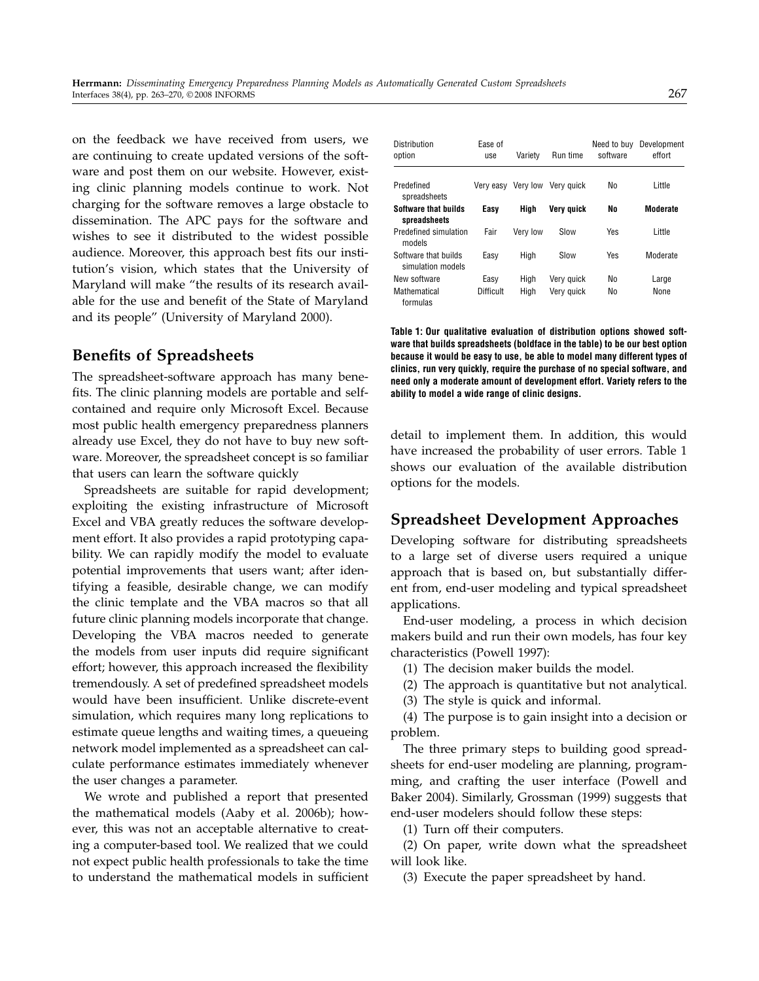on the feedback we have received from users, we are continuing to create updated versions of the software and post them on our website. However, existing clinic planning models continue to work. Not charging for the software removes a large obstacle to dissemination. The APC pays for the software and wishes to see it distributed to the widest possible audience. Moreover, this approach best fits our institution's vision, which states that the University of Maryland will make "the results of its research available for the use and benefit of the State of Maryland and its people" (University of Maryland 2000).

#### Benefits of Spreadsheets

The spreadsheet-software approach has many benefits. The clinic planning models are portable and selfcontained and require only Microsoft Excel. Because most public health emergency preparedness planners already use Excel, they do not have to buy new software. Moreover, the spreadsheet concept is so familiar that users can learn the software quickly

Spreadsheets are suitable for rapid development; exploiting the existing infrastructure of Microsoft Excel and VBA greatly reduces the software development effort. It also provides a rapid prototyping capability. We can rapidly modify the model to evaluate potential improvements that users want; after identifying a feasible, desirable change, we can modify the clinic template and the VBA macros so that all future clinic planning models incorporate that change. Developing the VBA macros needed to generate the models from user inputs did require significant effort; however, this approach increased the flexibility tremendously. A set of predefined spreadsheet models would have been insufficient. Unlike discrete-event simulation, which requires many long replications to estimate queue lengths and waiting times, a queueing network model implemented as a spreadsheet can calculate performance estimates immediately whenever the user changes a parameter.

We wrote and published a report that presented the mathematical models (Aaby et al. 2006b); however, this was not an acceptable alternative to creating a computer-based tool. We realized that we could not expect public health professionals to take the time to understand the mathematical models in sufficient

| Distribution<br>option                    | Ease of<br>use | Variety  | Run time   | Need to buy<br>software | Development<br>effort |
|-------------------------------------------|----------------|----------|------------|-------------------------|-----------------------|
| Predefined<br>spreadsheets                | Very easy      | Very low | Very quick | No                      | Little                |
| Software that builds<br>spreadsheets      | Easv           | Hiah     | Very quick | No                      | Moderate              |
| Predefined simulation<br>models           | Fair           | Very low | Slow       | Yes                     | Little                |
| Software that builds<br>simulation models | Easy           | High     | Slow       | Yes                     | Moderate              |
| New software                              | Easy           | High     | Very quick | No                      | Large                 |
| Mathematical<br>formulas                  | Difficult      | High     | Very quick | No                      | None                  |

Table 1: Our qualitative evaluation of distribution options showed software that builds spreadsheets (boldface in the table) to be our best option because it would be easy to use, be able to model many different types of clinics, run very quickly, require the purchase of no special software, and need only a moderate amount of development effort. Variety refers to the ability to model a wide range of clinic designs.

detail to implement them. In addition, this would have increased the probability of user errors. Table 1 shows our evaluation of the available distribution options for the models.

### Spreadsheet Development Approaches

Developing software for distributing spreadsheets to a large set of diverse users required a unique approach that is based on, but substantially different from, end-user modeling and typical spreadsheet applications.

End-user modeling, a process in which decision makers build and run their own models, has four key characteristics (Powell 1997):

(1) The decision maker builds the model.

(2) The approach is quantitative but not analytical.

(3) The style is quick and informal.

(4) The purpose is to gain insight into a decision or problem.

The three primary steps to building good spreadsheets for end-user modeling are planning, programming, and crafting the user interface (Powell and Baker 2004). Similarly, Grossman (1999) suggests that end-user modelers should follow these steps:

(1) Turn off their computers.

(2) On paper, write down what the spreadsheet will look like.

(3) Execute the paper spreadsheet by hand.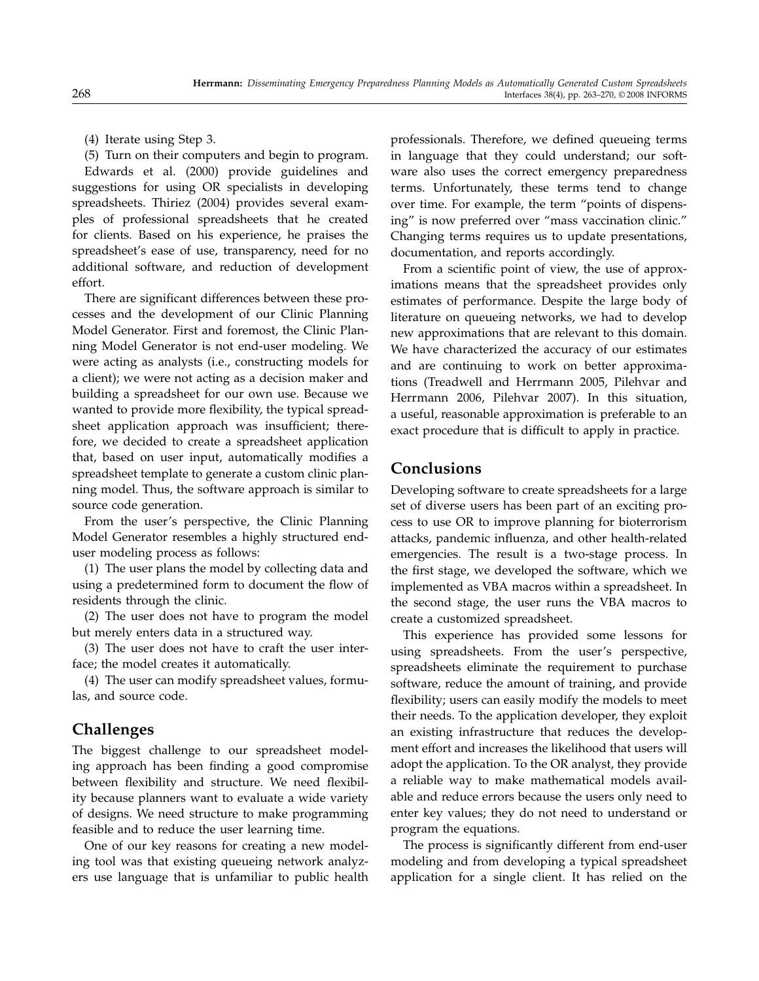(4) Iterate using Step 3.

(5) Turn on their computers and begin to program. Edwards et al. (2000) provide guidelines and suggestions for using OR specialists in developing spreadsheets. Thiriez (2004) provides several examples of professional spreadsheets that he created for clients. Based on his experience, he praises the spreadsheet's ease of use, transparency, need for no additional software, and reduction of development effort.

There are significant differences between these processes and the development of our Clinic Planning Model Generator. First and foremost, the Clinic Planning Model Generator is not end-user modeling. We were acting as analysts (i.e., constructing models for a client); we were not acting as a decision maker and building a spreadsheet for our own use. Because we wanted to provide more flexibility, the typical spreadsheet application approach was insufficient; therefore, we decided to create a spreadsheet application that, based on user input, automatically modifies a spreadsheet template to generate a custom clinic planning model. Thus, the software approach is similar to source code generation.

From the user's perspective, the Clinic Planning Model Generator resembles a highly structured enduser modeling process as follows:

(1) The user plans the model by collecting data and using a predetermined form to document the flow of residents through the clinic.

(2) The user does not have to program the model but merely enters data in a structured way.

(3) The user does not have to craft the user interface; the model creates it automatically.

(4) The user can modify spreadsheet values, formulas, and source code.

### Challenges

The biggest challenge to our spreadsheet modeling approach has been finding a good compromise between flexibility and structure. We need flexibility because planners want to evaluate a wide variety of designs. We need structure to make programming feasible and to reduce the user learning time.

One of our key reasons for creating a new modeling tool was that existing queueing network analyzers use language that is unfamiliar to public health professionals. Therefore, we defined queueing terms in language that they could understand; our software also uses the correct emergency preparedness terms. Unfortunately, these terms tend to change over time. For example, the term "points of dispensing" is now preferred over "mass vaccination clinic." Changing terms requires us to update presentations, documentation, and reports accordingly.

From a scientific point of view, the use of approximations means that the spreadsheet provides only estimates of performance. Despite the large body of literature on queueing networks, we had to develop new approximations that are relevant to this domain. We have characterized the accuracy of our estimates and are continuing to work on better approximations (Treadwell and Herrmann 2005, Pilehvar and Herrmann 2006, Pilehvar 2007). In this situation, a useful, reasonable approximation is preferable to an exact procedure that is difficult to apply in practice.

### Conclusions

Developing software to create spreadsheets for a large set of diverse users has been part of an exciting process to use OR to improve planning for bioterrorism attacks, pandemic influenza, and other health-related emergencies. The result is a two-stage process. In the first stage, we developed the software, which we implemented as VBA macros within a spreadsheet. In the second stage, the user runs the VBA macros to create a customized spreadsheet.

This experience has provided some lessons for using spreadsheets. From the user's perspective, spreadsheets eliminate the requirement to purchase software, reduce the amount of training, and provide flexibility; users can easily modify the models to meet their needs. To the application developer, they exploit an existing infrastructure that reduces the development effort and increases the likelihood that users will adopt the application. To the OR analyst, they provide a reliable way to make mathematical models available and reduce errors because the users only need to enter key values; they do not need to understand or program the equations.

The process is significantly different from end-user modeling and from developing a typical spreadsheet application for a single client. It has relied on the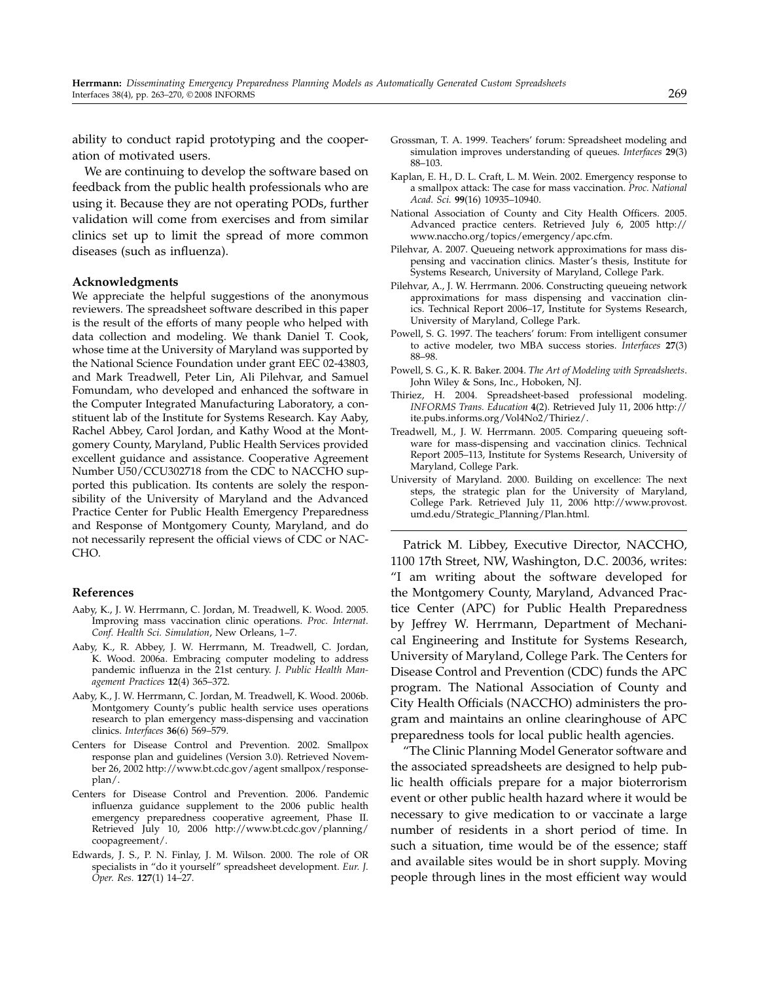ability to conduct rapid prototyping and the cooperation of motivated users.

We are continuing to develop the software based on feedback from the public health professionals who are using it. Because they are not operating PODs, further validation will come from exercises and from similar clinics set up to limit the spread of more common diseases (such as influenza).

#### Acknowledgments

We appreciate the helpful suggestions of the anonymous reviewers. The spreadsheet software described in this paper is the result of the efforts of many people who helped with data collection and modeling. We thank Daniel T. Cook, whose time at the University of Maryland was supported by the National Science Foundation under grant EEC 02-43803, and Mark Treadwell, Peter Lin, Ali Pilehvar, and Samuel Fomundam, who developed and enhanced the software in the Computer Integrated Manufacturing Laboratory, a constituent lab of the Institute for Systems Research. Kay Aaby, Rachel Abbey, Carol Jordan, and Kathy Wood at the Montgomery County, Maryland, Public Health Services provided excellent guidance and assistance. Cooperative Agreement Number U50/CCU302718 from the CDC to NACCHO supported this publication. Its contents are solely the responsibility of the University of Maryland and the Advanced Practice Center for Public Health Emergency Preparedness and Response of Montgomery County, Maryland, and do not necessarily represent the official views of CDC or NAC-CHO.

#### References

- Aaby, K., J. W. Herrmann, C. Jordan, M. Treadwell, K. Wood. 2005. Improving mass vaccination clinic operations. Proc. Internat. Conf. Health Sci. Simulation, New Orleans, 1–7.
- Aaby, K., R. Abbey, J. W. Herrmann, M. Treadwell, C. Jordan, K. Wood. 2006a. Embracing computer modeling to address pandemic influenza in the 21st century. J. Public Health Management Practices 12(4) 365–372.
- Aaby, K., J. W. Herrmann, C. Jordan, M. Treadwell, K. Wood. 2006b. Montgomery County's public health service uses operations research to plan emergency mass-dispensing and vaccination clinics. Interfaces 36(6) 569–579.
- Centers for Disease Control and Prevention. 2002. Smallpox response plan and guidelines (Version 3.0). Retrieved November 26, 2002 http://www.bt.cdc.gov/agent smallpox/responseplan/.
- Centers for Disease Control and Prevention. 2006. Pandemic influenza guidance supplement to the 2006 public health emergency preparedness cooperative agreement, Phase II. Retrieved July 10, 2006 http://www.bt.cdc.gov/planning/ coopagreement/.
- Edwards, J. S., P. N. Finlay, J. M. Wilson. 2000. The role of OR specialists in "do it yourself" spreadsheet development. Eur. J. Oper. Res. 127(1) 14–27.
- Grossman, T. A. 1999. Teachers' forum: Spreadsheet modeling and simulation improves understanding of queues. Interfaces 29(3) 88–103.
- Kaplan, E. H., D. L. Craft, L. M. Wein. 2002. Emergency response to a smallpox attack: The case for mass vaccination. Proc. National Acad. Sci. 99(16) 10935–10940.
- National Association of County and City Health Officers. 2005. Advanced practice centers. Retrieved July 6, 2005 http:// www.naccho.org/topics/emergency/apc.cfm.
- Pilehvar, A. 2007. Queueing network approximations for mass dispensing and vaccination clinics. Master's thesis, Institute for Systems Research, University of Maryland, College Park.
- Pilehvar, A., J. W. Herrmann. 2006. Constructing queueing network approximations for mass dispensing and vaccination clinics. Technical Report 2006–17, Institute for Systems Research, University of Maryland, College Park.
- Powell, S. G. 1997. The teachers' forum: From intelligent consumer to active modeler, two MBA success stories. Interfaces 27(3) 88–98.
- Powell, S. G., K. R. Baker. 2004. The Art of Modeling with Spreadsheets. John Wiley & Sons, Inc., Hoboken, NJ.
- Thiriez, H. 2004. Spreadsheet-based professional modeling. INFORMS Trans. Education 4(2). Retrieved July 11, 2006 http:// ite.pubs.informs.org/Vol4No2/Thiriez/.
- Treadwell, M., J. W. Herrmann. 2005. Comparing queueing software for mass-dispensing and vaccination clinics. Technical Report 2005–113, Institute for Systems Research, University of Maryland, College Park.
- University of Maryland. 2000. Building on excellence: The next steps, the strategic plan for the University of Maryland, College Park. Retrieved July 11, 2006 http://www.provost. umd.edu/Strategic\_Planning/Plan.html.

Patrick M. Libbey, Executive Director, NACCHO, 1100 17th Street, NW, Washington, D.C. 20036, writes: "I am writing about the software developed for the Montgomery County, Maryland, Advanced Practice Center (APC) for Public Health Preparedness by Jeffrey W. Herrmann, Department of Mechanical Engineering and Institute for Systems Research, University of Maryland, College Park. The Centers for Disease Control and Prevention (CDC) funds the APC program. The National Association of County and City Health Officials (NACCHO) administers the program and maintains an online clearinghouse of APC preparedness tools for local public health agencies.

"The Clinic Planning Model Generator software and the associated spreadsheets are designed to help public health officials prepare for a major bioterrorism event or other public health hazard where it would be necessary to give medication to or vaccinate a large number of residents in a short period of time. In such a situation, time would be of the essence; staff and available sites would be in short supply. Moving people through lines in the most efficient way would